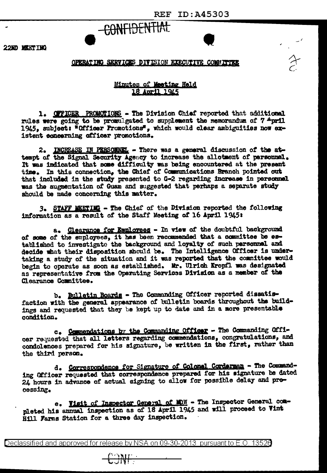$\rightarrow$ 



22ND MEETING

## OPERATING SERVICES DIVISION EXECUTIVE COMMITTEE

## Mimutes of Meeting Held 18 April 1945

1. OFFICER PROMOTIONS - The Division Chief reported that additional rules were going to be promulgated to supplement the memorandum of 7 April 1945. subject: "Officer Promotions", which would clear ambiguities now existent concerning officer promotions.

2. INCREASE IN PERSONNEL - There was a general discussion of the attempt of the Signal Security Agency to increase the allotment of personnel. It was indicated that some difficulty was being encountered at the present time. In this connection, the Chief of Communications Branch pointed out that included in the study presented to G-2 regarding increase in personnel was the augmentation of Guam and suggested that perhaps a separate study should be made concerning this matter.

3. STAFF MEETING - The Chief of the Division reported the following information as a result of the Staff Meeting of 16 April 1945:

a. Clearance for Employees - In view of the doubtful background of some of the employees, it has been recommended that a committee be established to investigate the background and loyalty of such personnel and decide what their disposition should be. The Intelligence Officer is undertaking a study of the situation and it was reported that the committee would begin to operate as soon as established. Mr. Ulrich Kropfl was designated as representative from the Operating Services Division as a member of the Clearance Committee.

b. Bulletin Boards - The Commanding Officer reported dissatisfaction with the general appearance of bulletin boards throughout the buildings and requested that they be kept up to date and in a more presentable condition.

c. Commendations by the Commanding Officer - The Commanding Officer requested that all letters regarding commendations, congratulations, and condolences prepared for his signature, be written in the first, rather than the third person.

d. Correspondence for Signature of Colonel Cordersen - The Commanding Officer requested that correspondence prepared for his signature be dated 24 hours in advance of actual signing to allow for possible delay and processing.

e. Visit of Inspector General of MDW - The Inspector General completed his annual inspection as of 18 April 1945 and will proceed to Vint Hill Farms Station for a three day inspection.

Declassified and approved for release by NSA on 09-30-2013 pursuant to E.O. 13520